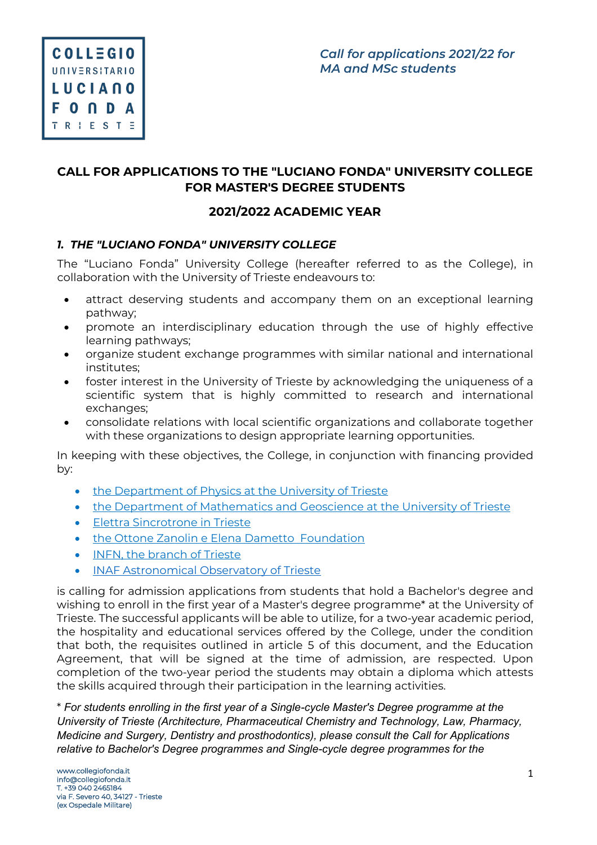# **CALL FOR APPLICATIONS TO THE "LUCIANO FONDA" UNIVERSITY COLLEGE FOR MASTER'S DEGREE STUDENTS**

# **2021/2022 ACADEMIC YEAR**

## *1. THE "LUCIANO FONDA" UNIVERSITY COLLEGE*

The "Luciano Fonda" University College (hereafter referred to as the College), in collaboration with the University of Trieste endeavours to:

- attract deserving students and accompany them on an exceptional learning pathway;
- promote an interdisciplinary education through the use of highly effective learning pathways;
- organize student exchange programmes with similar national and international institutes;
- foster interest in the University of Trieste by acknowledging the uniqueness of a scientific system that is highly committed to research and international exchanges;
- consolidate relations with local scientific organizations and collaborate together with these organizations to design appropriate learning opportunities.

In keeping with these objectives, the College, in conjunction with financing provided by:

- the Department of Physics at the University of Trieste
- the Department of Mathematics and Geoscience at the University of Trieste
- Elettra Sincrotrone in Trieste
- the Ottone Zanolin e Elena Dametto Foundation
- INFN, the branch of Trieste
- INAF Astronomical Observatory of Trieste

is calling for admission applications from students that hold a Bachelor's degree and wishing to enroll in the first year of a Master's degree programme\* at the University of Trieste. The successful applicants will be able to utilize, for a two-year academic period, the hospitality and educational services offered by the College, under the condition that both, the requisites outlined in article 5 of this document, and the Education Agreement, that will be signed at the time of admission, are respected. Upon completion of the two-year period the students may obtain a diploma which attests the skills acquired through their participation in the learning activities.

\* *For students enrolling in the first year of a Single-cycle Master's Degree programme at the University of Trieste (Architecture, Pharmaceutical Chemistry and Technology, Law, Pharmacy, Medicine and Surgery, Dentistry and prosthodontics), please consult the Call for Applications relative to Bachelor's Degree programmes and Single-cycle degree programmes for the*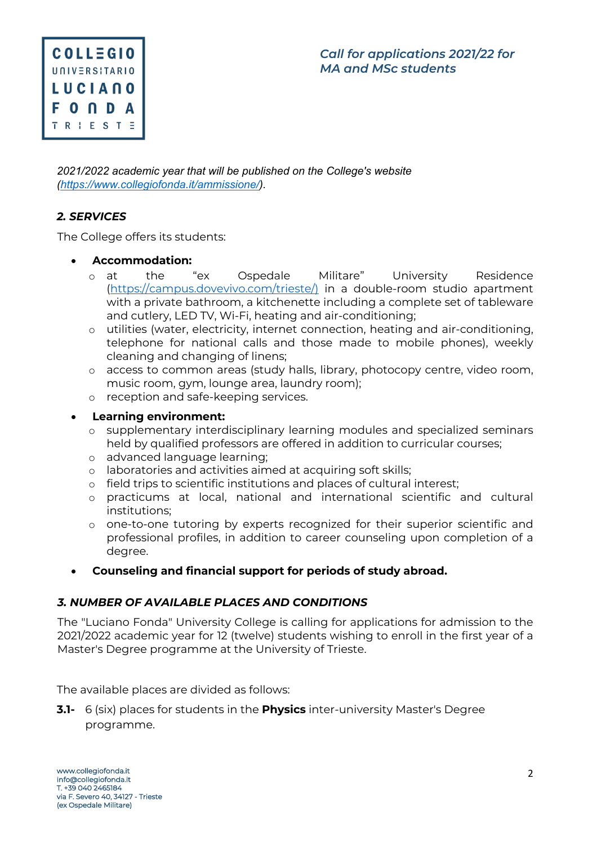

*2021/2022 academic year that will be published on the College's website (https://www.collegiofonda.it/ammissione/).* 

## *2. SERVICES*

The College offers its students:

#### • **Accommodation:**

- o at the "ex Ospedale Militare" University Residence (https://campus.dovevivo.com/trieste/) in a double-room studio apartment with a private bathroom, a kitchenette including a complete set of tableware and cutlery, LED TV, Wi-Fi, heating and air-conditioning;
- o utilities (water, electricity, internet connection, heating and air-conditioning, telephone for national calls and those made to mobile phones), weekly cleaning and changing of linens;
- o access to common areas (study halls, library, photocopy centre, video room, music room, gym, lounge area, laundry room);
- o reception and safe-keeping services.

#### • **Learning environment:**

- o supplementary interdisciplinary learning modules and specialized seminars held by qualified professors are offered in addition to curricular courses;
- o advanced language learning;
- o laboratories and activities aimed at acquiring soft skills;
- o field trips to scientific institutions and places of cultural interest;
- o practicums at local, national and international scientific and cultural institutions;
- o one-to-one tutoring by experts recognized for their superior scientific and professional profiles, in addition to career counseling upon completion of a degree.
- **Counseling and financial support for periods of study abroad.**

### *3. NUMBER OF AVAILABLE PLACES AND CONDITIONS*

The "Luciano Fonda" University College is calling for applications for admission to the 2021/2022 academic year for 12 (twelve) students wishing to enroll in the first year of a Master's Degree programme at the University of Trieste.

The available places are divided as follows:

**3.1-** 6 (six) places for students in the **Physics** inter-university Master's Degree programme.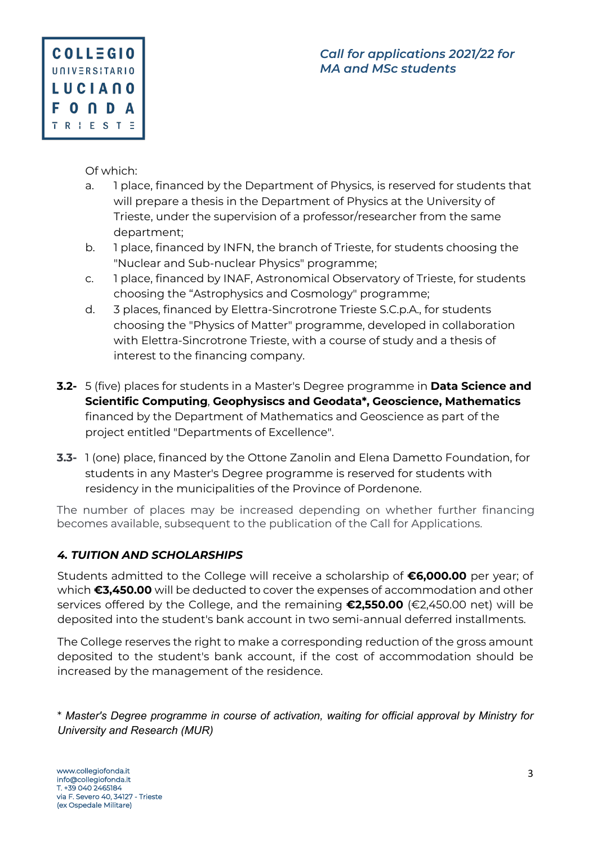

Of which:

- a. 1 place, financed by the Department of Physics, is reserved for students that will prepare a thesis in the Department of Physics at the University of Trieste, under the supervision of a professor/researcher from the same department;
- b. 1 place, financed by INFN, the branch of Trieste, for students choosing the "Nuclear and Sub-nuclear Physics" programme;
- c. 1 place, financed by INAF, Astronomical Observatory of Trieste, for students choosing the "Astrophysics and Cosmology" programme;
- d. 3 places, financed by Elettra-Sincrotrone Trieste S.C.p.A., for students choosing the "Physics of Matter" programme, developed in collaboration with Elettra-Sincrotrone Trieste, with a course of study and a thesis of interest to the financing company.
- **3.2-** 5 (five) places for students in a Master's Degree programme in **Data Science and Scientific Computing**, **Geophysiscs and Geodata\*, Geoscience, Mathematics** financed by the Department of Mathematics and Geoscience as part of the project entitled "Departments of Excellence".
- **3.3-** 1 (one) place, financed by the Ottone Zanolin and Elena Dametto Foundation, for students in any Master's Degree programme is reserved for students with residency in the municipalities of the Province of Pordenone.

The number of places may be increased depending on whether further financing becomes available, subsequent to the publication of the Call for Applications.

## *4. TUITION AND SCHOLARSHIPS*

Students admitted to the College will receive a scholarship of **€6,000.00** per year; of which **€3,450.00** will be deducted to cover the expenses of accommodation and other services offered by the College, and the remaining **€2,550.00** (€2,450.00 net) will be deposited into the student's bank account in two semi-annual deferred installments.

The College reserves the right to make a corresponding reduction of the gross amount deposited to the student's bank account, if the cost of accommodation should be increased by the management of the residence.

\* *Master's Degree programme in course of activation, waiting for official approval by Ministry for University and Research (MUR)*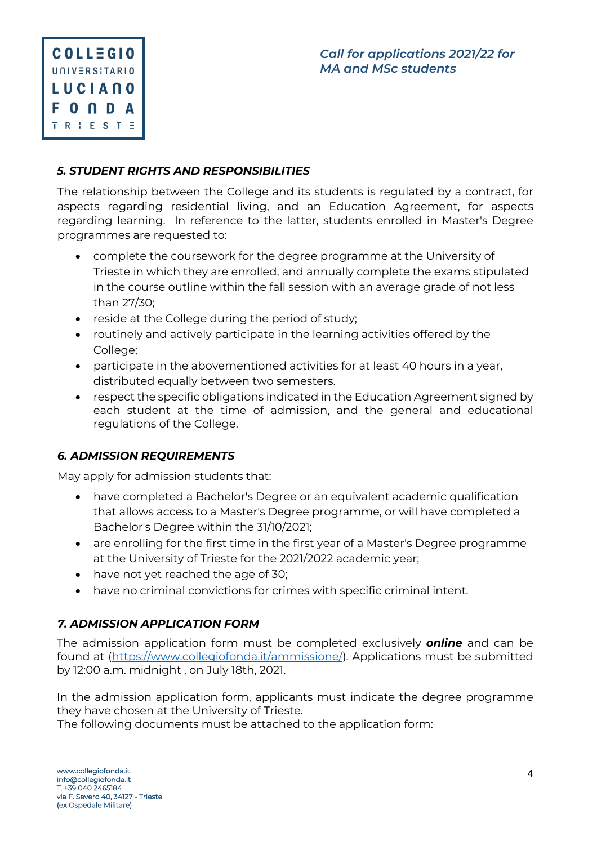

## *5. STUDENT RIGHTS AND RESPONSIBILITIES*

The relationship between the College and its students is regulated by a contract, for aspects regarding residential living, and an Education Agreement, for aspects regarding learning. In reference to the latter, students enrolled in Master's Degree programmes are requested to:

- complete the coursework for the degree programme at the University of Trieste in which they are enrolled, and annually complete the exams stipulated in the course outline within the fall session with an average grade of not less than 27/30;
- reside at the College during the period of study;
- routinely and actively participate in the learning activities offered by the College;
- participate in the abovementioned activities for at least 40 hours in a year, distributed equally between two semesters.
- respect the specific obligations indicated in the Education Agreement signed by each student at the time of admission, and the general and educational regulations of the College.

### *6. ADMISSION REQUIREMENTS*

May apply for admission students that:

- have completed a Bachelor's Degree or an equivalent academic qualification that allows access to a Master's Degree programme, or will have completed a Bachelor's Degree within the 31/10/2021;
- are enrolling for the first time in the first year of a Master's Degree programme at the University of Trieste for the 2021/2022 academic year;
- have not yet reached the age of 30;
- have no criminal convictions for crimes with specific criminal intent.

## *7. ADMISSION APPLICATION FORM*

The admission application form must be completed exclusively *online* and can be found at (https://www.collegiofonda.it/ammissione/). Applications must be submitted by 12:00 a.m. midnight , on July 18th, 2021.

In the admission application form, applicants must indicate the degree programme they have chosen at the University of Trieste.

The following documents must be attached to the application form: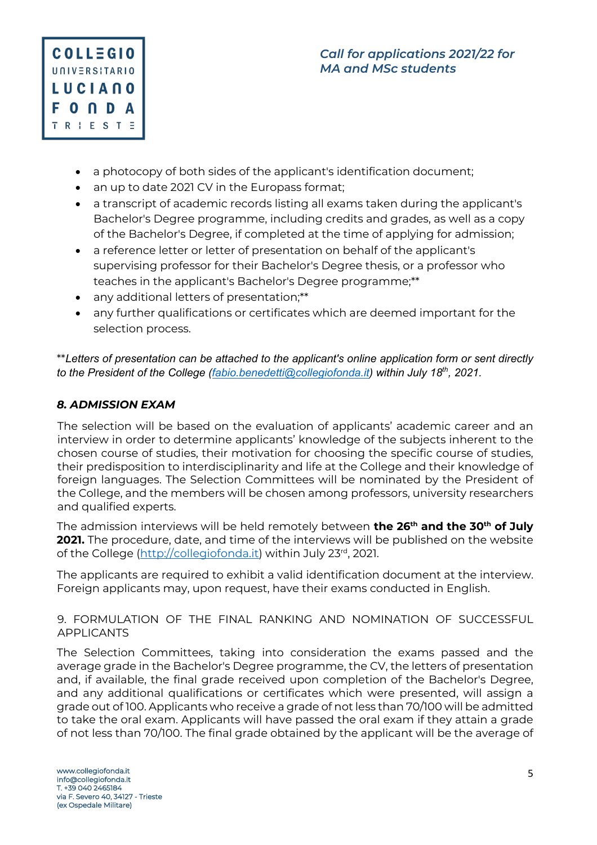

- a photocopy of both sides of the applicant's identification document;
- an up to date 2021 CV in the Europass format;
- a transcript of academic records listing all exams taken during the applicant's Bachelor's Degree programme, including credits and grades, as well as a copy of the Bachelor's Degree, if completed at the time of applying for admission;
- a reference letter or letter of presentation on behalf of the applicant's supervising professor for their Bachelor's Degree thesis, or a professor who teaches in the applicant's Bachelor's Degree programme;\*\*
- any additional letters of presentation;\*\*
- any further qualifications or certificates which are deemed important for the selection process.

\*\**Letters of presentation can be attached to the applicant's online application form or sent directly to the President of the College (fabio.benedetti@collegiofonda.it) within July 18th, 2021.* 

# *8. ADMISSION EXAM*

The selection will be based on the evaluation of applicants' academic career and an interview in order to determine applicants' knowledge of the subjects inherent to the chosen course of studies, their motivation for choosing the specific course of studies, their predisposition to interdisciplinarity and life at the College and their knowledge of foreign languages. The Selection Committees will be nominated by the President of the College, and the members will be chosen among professors, university researchers and qualified experts.

The admission interviews will be held remotely between **the 26th and the 30th of July 2021.** The procedure, date, and time of the interviews will be published on the website of the College (http://collegiofonda.it) within July 23rd, 2021.

The applicants are required to exhibit a valid identification document at the interview. Foreign applicants may, upon request, have their exams conducted in English.

### 9. FORMULATION OF THE FINAL RANKING AND NOMINATION OF SUCCESSFUL APPLICANTS

The Selection Committees, taking into consideration the exams passed and the average grade in the Bachelor's Degree programme, the CV, the letters of presentation and, if available, the final grade received upon completion of the Bachelor's Degree, and any additional qualifications or certificates which were presented, will assign a grade out of 100. Applicants who receive a grade of not less than 70/100 will be admitted to take the oral exam. Applicants will have passed the oral exam if they attain a grade of not less than 70/100. The final grade obtained by the applicant will be the average of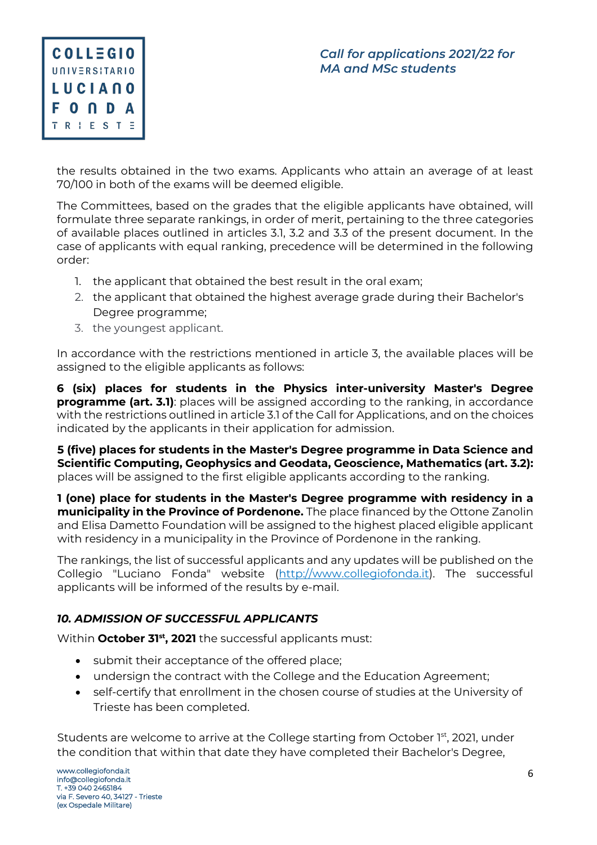

the results obtained in the two exams. Applicants who attain an average of at least 70/100 in both of the exams will be deemed eligible.

The Committees, based on the grades that the eligible applicants have obtained, will formulate three separate rankings, in order of merit, pertaining to the three categories of available places outlined in articles 3.1, 3.2 and 3.3 of the present document. In the case of applicants with equal ranking, precedence will be determined in the following order:

- 1. the applicant that obtained the best result in the oral exam;
- 2. the applicant that obtained the highest average grade during their Bachelor's Degree programme;
- 3. the youngest applicant.

In accordance with the restrictions mentioned in article 3, the available places will be assigned to the eligible applicants as follows:

**6 (six) places for students in the Physics inter-university Master's Degree programme (art. 3.1)**: places will be assigned according to the ranking, in accordance with the restrictions outlined in article 3.1 of the Call for Applications, and on the choices indicated by the applicants in their application for admission.

**5 (five) places for students in the Master's Degree programme in Data Science and Scientific Computing, Geophysics and Geodata, Geoscience, Mathematics (art. 3.2):**  places will be assigned to the first eligible applicants according to the ranking.

**1 (one) place for students in the Master's Degree programme with residency in a municipality in the Province of Pordenone.** The place financed by the Ottone Zanolin and Elisa Dametto Foundation will be assigned to the highest placed eligible applicant with residency in a municipality in the Province of Pordenone in the ranking.

The rankings, the list of successful applicants and any updates will be published on the Collegio "Luciano Fonda" website (http://www.collegiofonda.it). The successful applicants will be informed of the results by e-mail.

## *10. ADMISSION OF SUCCESSFUL APPLICANTS*

Within **October 31<sup>st</sup>, 2021** the successful applicants must:

- submit their acceptance of the offered place;
- undersign the contract with the College and the Education Agreement;
- self-certify that enrollment in the chosen course of studies at the University of Trieste has been completed.

Students are welcome to arrive at the College starting from October 1st, 2021, under the condition that within that date they have completed their Bachelor's Degree,